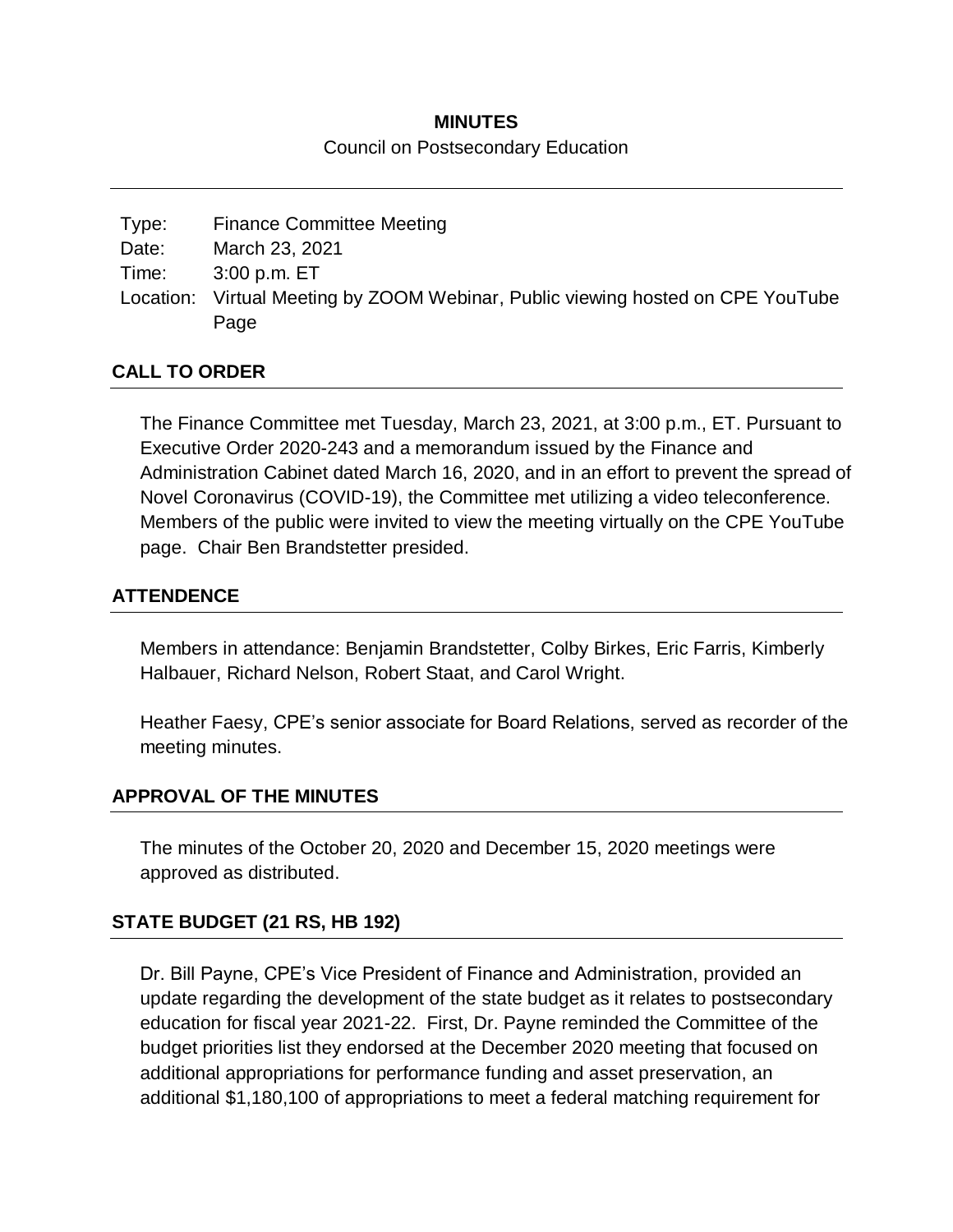## **MINUTES**

#### Council on Postsecondary Education

| Type: | <b>Finance Committee Meeting</b>                                                |
|-------|---------------------------------------------------------------------------------|
| Date: | March 23, 2021                                                                  |
| Time: | 3:00 p.m. ET                                                                    |
|       | Location: Virtual Meeting by ZOOM Webinar, Public viewing hosted on CPE YouTube |
|       | Page                                                                            |

## **CALL TO ORDER**

The Finance Committee met Tuesday, March 23, 2021, at 3:00 p.m., ET. Pursuant to Executive Order 2020-243 and a memorandum issued by the Finance and Administration Cabinet dated March 16, 2020, and in an effort to prevent the spread of Novel Coronavirus (COVID-19), the Committee met utilizing a video teleconference. Members of the public were invited to view the meeting virtually on the CPE YouTube page. Chair Ben Brandstetter presided.

## **ATTENDENCE**

Members in attendance: Benjamin Brandstetter, Colby Birkes, Eric Farris, Kimberly Halbauer, Richard Nelson, Robert Staat, and Carol Wright.

Heather Faesy, CPE's senior associate for Board Relations, served as recorder of the meeting minutes.

#### **APPROVAL OF THE MINUTES**

The minutes of the October 20, 2020 and December 15, 2020 meetings were approved as distributed.

# **STATE BUDGET (21 RS, HB 192)**

Dr. Bill Payne, CPE's Vice President of Finance and Administration, provided an update regarding the development of the state budget as it relates to postsecondary education for fiscal year 2021-22. First, Dr. Payne reminded the Committee of the budget priorities list they endorsed at the December 2020 meeting that focused on additional appropriations for performance funding and asset preservation, an additional \$1,180,100 of appropriations to meet a federal matching requirement for